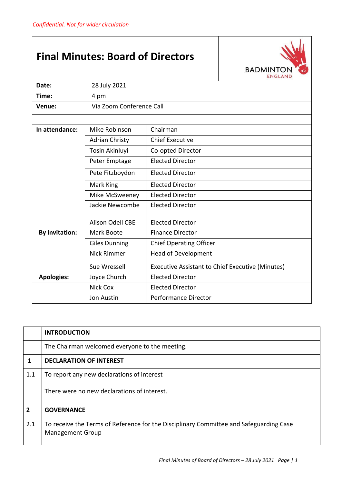## **Final Minutes: Board of Directors**



| Date:                 | 28 July 2021                               |                                                         |  |
|-----------------------|--------------------------------------------|---------------------------------------------------------|--|
| Time:                 | 4 pm                                       |                                                         |  |
| Venue:                | Via Zoom Conference Call                   |                                                         |  |
|                       |                                            |                                                         |  |
| In attendance:        | Mike Robinson<br>Chairman                  |                                                         |  |
|                       | <b>Adrian Christy</b>                      | <b>Chief Executive</b>                                  |  |
|                       | Tosin Akinluyi                             | Co-opted Director                                       |  |
|                       | Peter Emptage                              | <b>Elected Director</b>                                 |  |
|                       | Pete Fitzboydon<br><b>Elected Director</b> |                                                         |  |
|                       | <b>Elected Director</b><br>Mark King       |                                                         |  |
|                       | <b>Elected Director</b><br>Mike McSweeney  |                                                         |  |
|                       | Jackie Newcombe<br><b>Elected Director</b> |                                                         |  |
|                       | <b>Alison Odell CBE</b>                    | <b>Elected Director</b>                                 |  |
| <b>By invitation:</b> | Mark Boote<br><b>Finance Director</b>      |                                                         |  |
|                       | <b>Giles Dunning</b>                       | <b>Chief Operating Officer</b>                          |  |
|                       | <b>Nick Rimmer</b>                         | <b>Head of Development</b>                              |  |
|                       | Sue Wressell                               | <b>Executive Assistant to Chief Executive (Minutes)</b> |  |
| <b>Apologies:</b>     | <b>Elected Director</b><br>Joyce Church    |                                                         |  |
|                       | <b>Nick Cox</b><br><b>Elected Director</b> |                                                         |  |
|                       | <b>Jon Austin</b>                          | <b>Performance Director</b>                             |  |

|                | <b>INTRODUCTION</b>                                                                                               |
|----------------|-------------------------------------------------------------------------------------------------------------------|
|                | The Chairman welcomed everyone to the meeting.                                                                    |
| 1              | <b>DECLARATION OF INTEREST</b>                                                                                    |
| 1.1            | To report any new declarations of interest                                                                        |
|                | There were no new declarations of interest.                                                                       |
| $\overline{2}$ | <b>GOVERNANCE</b>                                                                                                 |
| 2.1            | To receive the Terms of Reference for the Disciplinary Committee and Safeguarding Case<br><b>Management Group</b> |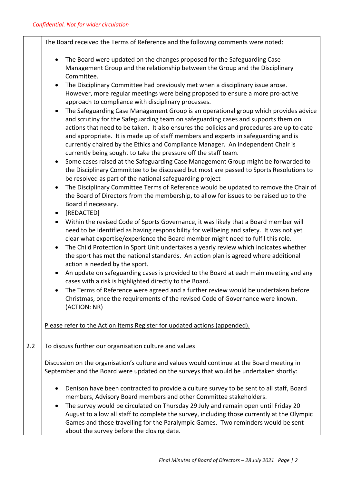|     | The Board received the Terms of Reference and the following comments were noted:                                                                                                                                                                                                                                                                                                                                                                                                                                                 |
|-----|----------------------------------------------------------------------------------------------------------------------------------------------------------------------------------------------------------------------------------------------------------------------------------------------------------------------------------------------------------------------------------------------------------------------------------------------------------------------------------------------------------------------------------|
|     | The Board were updated on the changes proposed for the Safeguarding Case<br>$\bullet$<br>Management Group and the relationship between the Group and the Disciplinary<br>Committee.<br>The Disciplinary Committee had previously met when a disciplinary issue arose.<br>$\bullet$<br>However, more regular meetings were being proposed to ensure a more pro-active<br>approach to compliance with disciplinary processes.<br>The Safeguarding Case Management Group is an operational group which provides advice<br>$\bullet$ |
|     | and scrutiny for the Safeguarding team on safeguarding cases and supports them on<br>actions that need to be taken. It also ensures the policies and procedures are up to date<br>and appropriate. It is made up of staff members and experts in safeguarding and is<br>currently chaired by the Ethics and Compliance Manager. An independent Chair is<br>currently being sought to take the pressure off the staff team.                                                                                                       |
|     | Some cases raised at the Safeguarding Case Management Group might be forwarded to<br>the Disciplinary Committee to be discussed but most are passed to Sports Resolutions to<br>be resolved as part of the national safeguarding project                                                                                                                                                                                                                                                                                         |
|     | The Disciplinary Committee Terms of Reference would be updated to remove the Chair of<br>$\bullet$<br>the Board of Directors from the membership, to allow for issues to be raised up to the<br>Board if necessary.                                                                                                                                                                                                                                                                                                              |
|     | [REDACTED]<br>$\bullet$                                                                                                                                                                                                                                                                                                                                                                                                                                                                                                          |
|     | Within the revised Code of Sports Governance, it was likely that a Board member will<br>$\bullet$<br>need to be identified as having responsibility for wellbeing and safety. It was not yet<br>clear what expertise/experience the Board member might need to fulfil this role.                                                                                                                                                                                                                                                 |
|     | The Child Protection in Sport Unit undertakes a yearly review which indicates whether<br>$\bullet$<br>the sport has met the national standards. An action plan is agreed where additional<br>action is needed by the sport.                                                                                                                                                                                                                                                                                                      |
|     | An update on safeguarding cases is provided to the Board at each main meeting and any<br>$\bullet$<br>cases with a risk is highlighted directly to the Board.                                                                                                                                                                                                                                                                                                                                                                    |
|     | The Terms of Reference were agreed and a further review would be undertaken before<br>Christmas, once the requirements of the revised Code of Governance were known.<br>(ACTION: NR)                                                                                                                                                                                                                                                                                                                                             |
|     | Please refer to the Action Items Register for updated actions (appended).                                                                                                                                                                                                                                                                                                                                                                                                                                                        |
| 2.2 | To discuss further our organisation culture and values                                                                                                                                                                                                                                                                                                                                                                                                                                                                           |
|     | Discussion on the organisation's culture and values would continue at the Board meeting in<br>September and the Board were updated on the surveys that would be undertaken shortly:                                                                                                                                                                                                                                                                                                                                              |
|     | Denison have been contracted to provide a culture survey to be sent to all staff, Board<br>٠<br>members, Advisory Board members and other Committee stakeholders.                                                                                                                                                                                                                                                                                                                                                                |
|     | The survey would be circulated on Thursday 29 July and remain open until Friday 20<br>$\bullet$<br>August to allow all staff to complete the survey, including those currently at the Olympic<br>Games and those travelling for the Paralympic Games. Two reminders would be sent<br>about the survey before the closing date.                                                                                                                                                                                                   |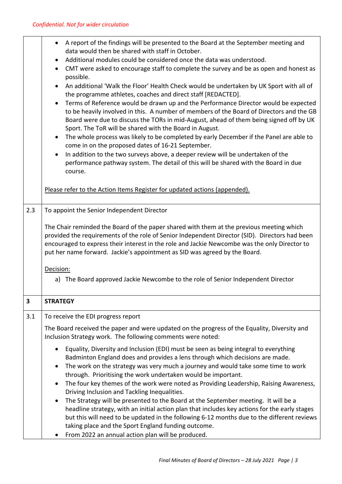|     | A report of the findings will be presented to the Board at the September meeting and<br>$\bullet$<br>data would then be shared with staff in October.<br>Additional modules could be considered once the data was understood.<br>$\bullet$<br>CMT were asked to encourage staff to complete the survey and be as open and honest as<br>$\bullet$<br>possible.<br>An additional 'Walk the Floor' Health Check would be undertaken by UK Sport with all of<br>$\bullet$<br>the programme athletes, coaches and direct staff [REDACTED].<br>Terms of Reference would be drawn up and the Performance Director would be expected<br>$\bullet$<br>to be heavily involved in this. A number of members of the Board of Directors and the GB<br>Board were due to discuss the TORs in mid-August, ahead of them being signed off by UK<br>Sport. The ToR will be shared with the Board in August.<br>The whole process was likely to be completed by early December if the Panel are able to<br>$\bullet$<br>come in on the proposed dates of 16-21 September.<br>In addition to the two surveys above, a deeper review will be undertaken of the<br>$\bullet$<br>performance pathway system. The detail of this will be shared with the Board in due<br>course.<br>Please refer to the Action Items Register for updated actions (appended). |
|-----|----------------------------------------------------------------------------------------------------------------------------------------------------------------------------------------------------------------------------------------------------------------------------------------------------------------------------------------------------------------------------------------------------------------------------------------------------------------------------------------------------------------------------------------------------------------------------------------------------------------------------------------------------------------------------------------------------------------------------------------------------------------------------------------------------------------------------------------------------------------------------------------------------------------------------------------------------------------------------------------------------------------------------------------------------------------------------------------------------------------------------------------------------------------------------------------------------------------------------------------------------------------------------------------------------------------------------------------|
| 2.3 | To appoint the Senior Independent Director                                                                                                                                                                                                                                                                                                                                                                                                                                                                                                                                                                                                                                                                                                                                                                                                                                                                                                                                                                                                                                                                                                                                                                                                                                                                                             |
|     |                                                                                                                                                                                                                                                                                                                                                                                                                                                                                                                                                                                                                                                                                                                                                                                                                                                                                                                                                                                                                                                                                                                                                                                                                                                                                                                                        |
|     | The Chair reminded the Board of the paper shared with them at the previous meeting which<br>provided the requirements of the role of Senior Independent Director (SID). Directors had been<br>encouraged to express their interest in the role and Jackie Newcombe was the only Director to<br>put her name forward. Jackie's appointment as SID was agreed by the Board.<br>Decision:<br>a) The Board approved Jackie Newcombe to the role of Senior Independent Director                                                                                                                                                                                                                                                                                                                                                                                                                                                                                                                                                                                                                                                                                                                                                                                                                                                             |
| 3   | <b>STRATEGY</b>                                                                                                                                                                                                                                                                                                                                                                                                                                                                                                                                                                                                                                                                                                                                                                                                                                                                                                                                                                                                                                                                                                                                                                                                                                                                                                                        |
| 3.1 | To receive the EDI progress report                                                                                                                                                                                                                                                                                                                                                                                                                                                                                                                                                                                                                                                                                                                                                                                                                                                                                                                                                                                                                                                                                                                                                                                                                                                                                                     |
|     | The Board received the paper and were updated on the progress of the Equality, Diversity and<br>Inclusion Strategy work. The following comments were noted:<br>Equality, Diversity and Inclusion (EDI) must be seen as being integral to everything<br>$\bullet$<br>Badminton England does and provides a lens through which decisions are made.<br>The work on the strategy was very much a journey and would take some time to work<br>$\bullet$<br>through. Prioritising the work undertaken would be important.<br>The four key themes of the work were noted as Providing Leadership, Raising Awareness,<br>$\bullet$<br>Driving Inclusion and Tackling Inequalities.<br>The Strategy will be presented to the Board at the September meeting. It will be a<br>$\bullet$<br>headline strategy, with an initial action plan that includes key actions for the early stages<br>but this will need to be updated in the following 6-12 months due to the different reviews<br>taking place and the Sport England funding outcome.                                                                                                                                                                                                                                                                                                    |
|     | From 2022 an annual action plan will be produced.                                                                                                                                                                                                                                                                                                                                                                                                                                                                                                                                                                                                                                                                                                                                                                                                                                                                                                                                                                                                                                                                                                                                                                                                                                                                                      |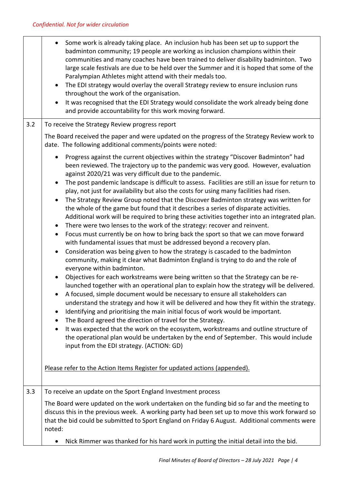|     | Some work is already taking place. An inclusion hub has been set up to support the<br>$\bullet$<br>badminton community; 19 people are working as inclusion champions within their<br>communities and many coaches have been trained to deliver disability badminton. Two<br>large scale festivals are due to be held over the Summer and it is hoped that some of the<br>Paralympian Athletes might attend with their medals too.<br>The EDI strategy would overlay the overall Strategy review to ensure inclusion runs<br>$\bullet$<br>throughout the work of the organisation.<br>It was recognised that the EDI Strategy would consolidate the work already being done<br>$\bullet$<br>and provide accountability for this work moving forward.                                                                                                                                                                                                                                                                                                                                                                                                                                                                                                                                                                                                                                                                                                                                                                                                                                                                                                                                                                                                                                                                                                                                                                                                                                                                                                   |
|-----|-------------------------------------------------------------------------------------------------------------------------------------------------------------------------------------------------------------------------------------------------------------------------------------------------------------------------------------------------------------------------------------------------------------------------------------------------------------------------------------------------------------------------------------------------------------------------------------------------------------------------------------------------------------------------------------------------------------------------------------------------------------------------------------------------------------------------------------------------------------------------------------------------------------------------------------------------------------------------------------------------------------------------------------------------------------------------------------------------------------------------------------------------------------------------------------------------------------------------------------------------------------------------------------------------------------------------------------------------------------------------------------------------------------------------------------------------------------------------------------------------------------------------------------------------------------------------------------------------------------------------------------------------------------------------------------------------------------------------------------------------------------------------------------------------------------------------------------------------------------------------------------------------------------------------------------------------------------------------------------------------------------------------------------------------------|
| 3.2 | To receive the Strategy Review progress report                                                                                                                                                                                                                                                                                                                                                                                                                                                                                                                                                                                                                                                                                                                                                                                                                                                                                                                                                                                                                                                                                                                                                                                                                                                                                                                                                                                                                                                                                                                                                                                                                                                                                                                                                                                                                                                                                                                                                                                                        |
|     | The Board received the paper and were updated on the progress of the Strategy Review work to<br>date. The following additional comments/points were noted:                                                                                                                                                                                                                                                                                                                                                                                                                                                                                                                                                                                                                                                                                                                                                                                                                                                                                                                                                                                                                                                                                                                                                                                                                                                                                                                                                                                                                                                                                                                                                                                                                                                                                                                                                                                                                                                                                            |
|     | Progress against the current objectives within the strategy "Discover Badminton" had<br>$\bullet$<br>been reviewed. The trajectory up to the pandemic was very good. However, evaluation<br>against 2020/21 was very difficult due to the pandemic.<br>The post pandemic landscape is difficult to assess. Facilities are still an issue for return to<br>$\bullet$<br>play, not just for availability but also the costs for using many facilities had risen.<br>The Strategy Review Group noted that the Discover Badminton strategy was written for<br>$\bullet$<br>the whole of the game but found that it describes a series of disparate activities.<br>Additional work will be required to bring these activities together into an integrated plan.<br>There were two lenses to the work of the strategy: recover and reinvent.<br>$\bullet$<br>Focus must currently be on how to bring back the sport so that we can move forward<br>$\bullet$<br>with fundamental issues that must be addressed beyond a recovery plan.<br>Consideration was being given to how the strategy is cascaded to the badminton<br>$\bullet$<br>community, making it clear what Badminton England is trying to do and the role of<br>everyone within badminton.<br>Objectives for each workstreams were being written so that the Strategy can be re-<br>$\bullet$<br>launched together with an operational plan to explain how the strategy will be delivered.<br>A focused, simple document would be necessary to ensure all stakeholders can<br>understand the strategy and how it will be delivered and how they fit within the strategy.<br>Identifying and prioritising the main initial focus of work would be important.<br>$\bullet$<br>The Board agreed the direction of travel for the Strategy.<br>$\bullet$<br>It was expected that the work on the ecosystem, workstreams and outline structure of<br>$\bullet$<br>the operational plan would be undertaken by the end of September. This would include<br>input from the EDI strategy. (ACTION: GD) |
|     | Please refer to the Action Items Register for updated actions (appended).                                                                                                                                                                                                                                                                                                                                                                                                                                                                                                                                                                                                                                                                                                                                                                                                                                                                                                                                                                                                                                                                                                                                                                                                                                                                                                                                                                                                                                                                                                                                                                                                                                                                                                                                                                                                                                                                                                                                                                             |
| 3.3 | To receive an update on the Sport England Investment process                                                                                                                                                                                                                                                                                                                                                                                                                                                                                                                                                                                                                                                                                                                                                                                                                                                                                                                                                                                                                                                                                                                                                                                                                                                                                                                                                                                                                                                                                                                                                                                                                                                                                                                                                                                                                                                                                                                                                                                          |
|     | The Board were updated on the work undertaken on the funding bid so far and the meeting to<br>discuss this in the previous week. A working party had been set up to move this work forward so<br>that the bid could be submitted to Sport England on Friday 6 August. Additional comments were<br>noted:                                                                                                                                                                                                                                                                                                                                                                                                                                                                                                                                                                                                                                                                                                                                                                                                                                                                                                                                                                                                                                                                                                                                                                                                                                                                                                                                                                                                                                                                                                                                                                                                                                                                                                                                              |
|     | Nick Rimmer was thanked for his hard work in putting the initial detail into the bid.<br>$\bullet$                                                                                                                                                                                                                                                                                                                                                                                                                                                                                                                                                                                                                                                                                                                                                                                                                                                                                                                                                                                                                                                                                                                                                                                                                                                                                                                                                                                                                                                                                                                                                                                                                                                                                                                                                                                                                                                                                                                                                    |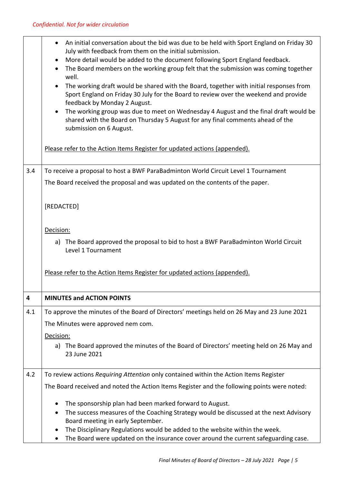|     | An initial conversation about the bid was due to be held with Sport England on Friday 30<br>٠<br>July with feedback from them on the initial submission.<br>More detail would be added to the document following Sport England feedback.<br>٠<br>The Board members on the working group felt that the submission was coming together<br>well.<br>The working draft would be shared with the Board, together with initial responses from<br>Sport England on Friday 30 July for the Board to review over the weekend and provide<br>feedback by Monday 2 August.<br>The working group was due to meet on Wednesday 4 August and the final draft would be<br>shared with the Board on Thursday 5 August for any final comments ahead of the<br>submission on 6 August.<br>Please refer to the Action Items Register for updated actions (appended). |
|-----|---------------------------------------------------------------------------------------------------------------------------------------------------------------------------------------------------------------------------------------------------------------------------------------------------------------------------------------------------------------------------------------------------------------------------------------------------------------------------------------------------------------------------------------------------------------------------------------------------------------------------------------------------------------------------------------------------------------------------------------------------------------------------------------------------------------------------------------------------|
| 3.4 | To receive a proposal to host a BWF ParaBadminton World Circuit Level 1 Tournament<br>The Board received the proposal and was updated on the contents of the paper.                                                                                                                                                                                                                                                                                                                                                                                                                                                                                                                                                                                                                                                                               |
|     | [REDACTED]<br>Decision:<br>a) The Board approved the proposal to bid to host a BWF ParaBadminton World Circuit<br>Level 1 Tournament                                                                                                                                                                                                                                                                                                                                                                                                                                                                                                                                                                                                                                                                                                              |
|     | Please refer to the Action Items Register for updated actions (appended).                                                                                                                                                                                                                                                                                                                                                                                                                                                                                                                                                                                                                                                                                                                                                                         |
| 4   | <b>MINUTES and ACTION POINTS</b>                                                                                                                                                                                                                                                                                                                                                                                                                                                                                                                                                                                                                                                                                                                                                                                                                  |
| 4.1 | To approve the minutes of the Board of Directors' meetings held on 26 May and 23 June 2021                                                                                                                                                                                                                                                                                                                                                                                                                                                                                                                                                                                                                                                                                                                                                        |
|     | The Minutes were approved nem com.                                                                                                                                                                                                                                                                                                                                                                                                                                                                                                                                                                                                                                                                                                                                                                                                                |
|     | Decision:<br>a) The Board approved the minutes of the Board of Directors' meeting held on 26 May and<br>23 June 2021                                                                                                                                                                                                                                                                                                                                                                                                                                                                                                                                                                                                                                                                                                                              |
| 4.2 | To review actions Requiring Attention only contained within the Action Items Register                                                                                                                                                                                                                                                                                                                                                                                                                                                                                                                                                                                                                                                                                                                                                             |
|     | The Board received and noted the Action Items Register and the following points were noted:                                                                                                                                                                                                                                                                                                                                                                                                                                                                                                                                                                                                                                                                                                                                                       |
|     | The sponsorship plan had been marked forward to August.<br>The success measures of the Coaching Strategy would be discussed at the next Advisory<br>٠<br>Board meeting in early September.<br>The Disciplinary Regulations would be added to the website within the week.<br>The Board were updated on the insurance cover around the current safeguarding case.<br>٠                                                                                                                                                                                                                                                                                                                                                                                                                                                                             |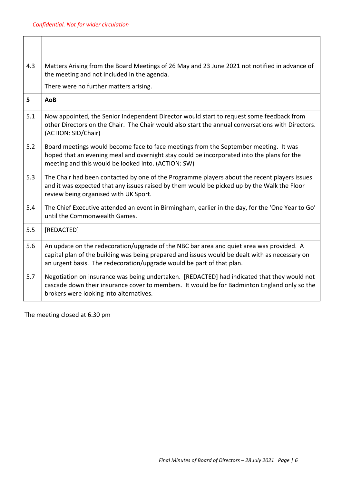| 4.3 | Matters Arising from the Board Meetings of 26 May and 23 June 2021 not notified in advance of<br>the meeting and not included in the agenda.                                                                                                                        |
|-----|---------------------------------------------------------------------------------------------------------------------------------------------------------------------------------------------------------------------------------------------------------------------|
|     | There were no further matters arising.                                                                                                                                                                                                                              |
| 5   | AoB                                                                                                                                                                                                                                                                 |
| 5.1 | Now appointed, the Senior Independent Director would start to request some feedback from<br>other Directors on the Chair. The Chair would also start the annual conversations with Directors.<br>(ACTION: SID/Chair)                                                |
| 5.2 | Board meetings would become face to face meetings from the September meeting. It was<br>hoped that an evening meal and overnight stay could be incorporated into the plans for the<br>meeting and this would be looked into. (ACTION: SW)                           |
| 5.3 | The Chair had been contacted by one of the Programme players about the recent players issues<br>and it was expected that any issues raised by them would be picked up by the Walk the Floor<br>review being organised with UK Sport.                                |
| 5.4 | The Chief Executive attended an event in Birmingham, earlier in the day, for the 'One Year to Go'<br>until the Commonwealth Games.                                                                                                                                  |
| 5.5 | [REDACTED]                                                                                                                                                                                                                                                          |
| 5.6 | An update on the redecoration/upgrade of the NBC bar area and quiet area was provided. A<br>capital plan of the building was being prepared and issues would be dealt with as necessary on<br>an urgent basis. The redecoration/upgrade would be part of that plan. |
| 5.7 | Negotiation on insurance was being undertaken. [REDACTED] had indicated that they would not<br>cascade down their insurance cover to members. It would be for Badminton England only so the<br>brokers were looking into alternatives.                              |

The meeting closed at 6.30 pm